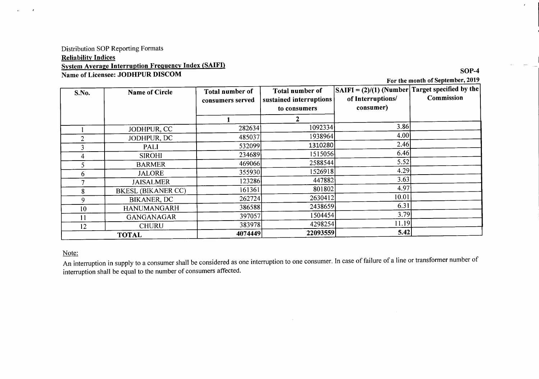### **Distribution SOP Reporting Formats Reliability Indices System Average Interruption Frequency Index (SAIFI)** Name of Licensee: JODHPUR DISCOM

### For the month of September, 2019

 $SOP-4$ 

 $\epsilon$ 

| S.No.        | Name of Circle            | Total number of<br>consumers served | Total number of<br>sustained interruptions<br>to consumers | $ SAIFI = (2)/(1)$ (Number Target specified by the<br>of Interruptions/<br>consumer) | Commission |
|--------------|---------------------------|-------------------------------------|------------------------------------------------------------|--------------------------------------------------------------------------------------|------------|
|              |                           |                                     |                                                            |                                                                                      |            |
|              | JODHPUR, CC               | 282634                              | 1092334                                                    | 3.86                                                                                 |            |
| 2            | JODHPUR, DC               | 485037                              | 1938964                                                    | 4.00                                                                                 |            |
|              | <b>PALI</b>               | 532099                              | 1310280                                                    | 2.46                                                                                 |            |
|              | <b>SIROHI</b>             | 234689                              | 1515056                                                    | 6.46                                                                                 |            |
|              | <b>BARMER</b>             | 469066                              | 2588544                                                    | 5.52                                                                                 |            |
| 6            | <b>JALORE</b>             | 355930                              | 1526918                                                    | 4.29                                                                                 |            |
|              | <b>JAISALMER</b>          | 123286                              | 447882                                                     | 3.63                                                                                 |            |
| 8.           | <b>BKESL (BIKANER CC)</b> | 161361                              | 801802                                                     | 4.97                                                                                 |            |
| 9            | <b>BIKANER, DC</b>        | 262724                              | 2630412                                                    | 10.01                                                                                |            |
| 10           | <b>HANUMANGARH</b>        | 386588                              | 2438659                                                    | 6.31                                                                                 |            |
|              | GANGANAGAR                | 397057                              | 1504454                                                    | 3.79                                                                                 |            |
| 12           | <b>CHURU</b>              | 383978                              | 4298254                                                    | 11.19                                                                                |            |
| <b>TOTAL</b> |                           | 4074449                             | 22093559                                                   | 5.42                                                                                 |            |

#### Note:

 $\overline{1}$ 

 $\mathbf{A}$ 

An interruption in supply to a consumer shall be considered as one interruption to one consumer. In case of failure of a line or transformer number of interruption shall be equal to the number of consumers affected.